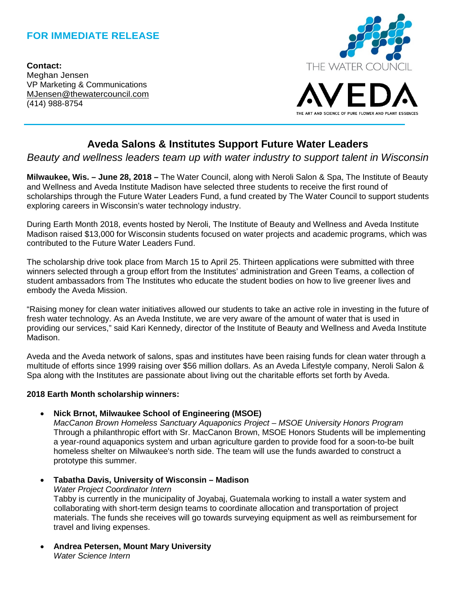# **FOR IMMEDIATE RELEASE**

**Contact:** Meghan Jensen VP Marketing & Communications [MJensen@thewatercouncil.com](mailto:MJensen@thewatercouncil.com) (414) 988-8754



# **Aveda Salons & Institutes Support Future Water Leaders**

## *Beauty and wellness leaders team up with water industry to support talent in Wisconsin*

**Milwaukee, Wis. – June 28, 2018 –** The Water Council, along with Neroli Salon & Spa, The Institute of Beauty and Wellness and Aveda Institute Madison have selected three students to receive the first round of scholarships through the Future Water Leaders Fund, a fund created by The Water Council to support students exploring careers in Wisconsin's water technology industry.

During Earth Month 2018, events hosted by Neroli, The Institute of Beauty and Wellness and Aveda Institute Madison raised \$13,000 for Wisconsin students focused on water projects and academic programs, which was contributed to the Future Water Leaders Fund.

The scholarship drive took place from March 15 to April 25. Thirteen applications were submitted with three winners selected through a group effort from the Institutes' administration and Green Teams, a collection of student ambassadors from The Institutes who educate the student bodies on how to live greener lives and embody the Aveda Mission.

"Raising money for clean water initiatives allowed our students to take an active role in investing in the future of fresh water technology. As an Aveda Institute, we are very aware of the amount of water that is used in providing our services," said Kari Kennedy, director of the Institute of Beauty and Wellness and Aveda Institute Madison.

Aveda and the Aveda network of salons, spas and institutes have been raising funds for clean water through a multitude of efforts since 1999 raising over \$56 million dollars. As an Aveda Lifestyle company, Neroli Salon & Spa along with the Institutes are passionate about living out the charitable efforts set forth by Aveda.

#### **2018 Earth Month scholarship winners:**

• **Nick Brnot, Milwaukee School of Engineering (MSOE)**

*MacCanon Brown Homeless Sanctuary Aquaponics Project – MSOE University Honors Program* Through a philanthropic effort with Sr. MacCanon Brown, MSOE Honors Students will be implementing a year-round aquaponics system and urban agriculture garden to provide food for a soon-to-be built homeless shelter on Milwaukee's north side. The team will use the funds awarded to construct a prototype this summer.

• **Tabatha Davis, University of Wisconsin – Madison** 

*Water Project Coordinator Intern*

Tabby is currently in the municipality of Joyabaj, Guatemala working to install a water system and collaborating with short-term design teams to coordinate allocation and transportation of project materials. The funds she receives will go towards surveying equipment as well as reimbursement for travel and living expenses.

• **Andrea Petersen, Mount Mary University**  *Water Science Intern*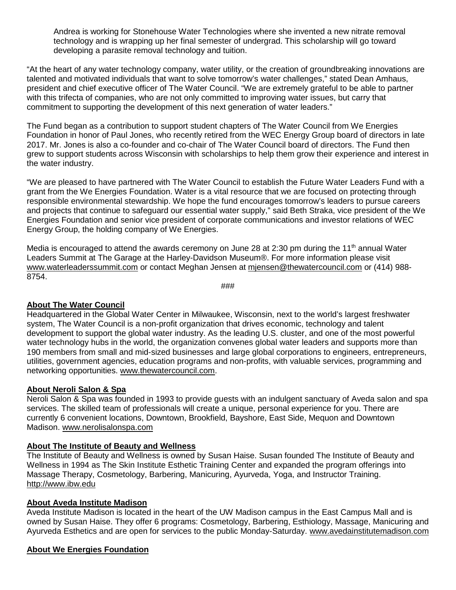Andrea is working for Stonehouse Water Technologies where she invented a new nitrate removal technology and is wrapping up her final semester of undergrad. This scholarship will go toward developing a parasite removal technology and tuition.

"At the heart of any water technology company, water utility, or the creation of groundbreaking innovations are talented and motivated individuals that want to solve tomorrow's water challenges," stated Dean Amhaus, president and chief executive officer of The Water Council. "We are extremely grateful to be able to partner with this trifecta of companies, who are not only committed to improving water issues, but carry that commitment to supporting the development of this next generation of water leaders."

The Fund began as a contribution to support student chapters of The Water Council from We Energies Foundation in honor of Paul Jones, who recently retired from the WEC Energy Group board of directors in late 2017. Mr. Jones is also a co-founder and co-chair of The Water Council board of directors. The Fund then grew to support students across Wisconsin with scholarships to help them grow their experience and interest in the water industry.

"We are pleased to have partnered with The Water Council to establish the Future Water Leaders Fund with a grant from the We Energies Foundation. Water is a vital resource that we are focused on protecting through responsible environmental stewardship. We hope the fund encourages tomorrow's leaders to pursue careers and projects that continue to safeguard our essential water supply," said Beth Straka, vice president of the We Energies Foundation and senior vice president of corporate communications and investor relations of WEC Energy Group, the holding company of We Energies.

Media is encouraged to attend the awards ceremony on June 28 at 2:30 pm during the 11<sup>th</sup> annual Water Leaders Summit at The Garage at the Harley-Davidson Museum®. For more information please visit [www.waterleaderssummit.com](http://www.waterleaderssummit.com/) or contact Meghan Jensen at [mjensen@thewatercouncil.com](mailto:mjensen@thewatercouncil.com) or (414) 988- 8754.

###

#### **About The Water Council**

Headquartered in the Global Water Center in Milwaukee, Wisconsin, next to the world's largest freshwater system, The Water Council is a non-profit organization that drives economic, technology and talent development to support the global water industry. As the leading U.S. cluster, and one of the most powerful water technology hubs in the world, the organization convenes global water leaders and supports more than 190 members from small and mid-sized businesses and large global corporations to engineers, entrepreneurs, utilities, government agencies, education programs and non-profits, with valuable services, programming and networking opportunities. [www.thewatercouncil.com.](http://www.thewatercouncil.com/)

#### **About Neroli Salon & Spa**

Neroli Salon & Spa was founded in 1993 to provide guests with an indulgent sanctuary of Aveda salon and spa services. The skilled team of professionals will create a unique, personal experience for you. There are currently 6 convenient locations, Downtown, Brookfield, Bayshore, East Side, Mequon and Downtown Madison. www.nerolisalonspa.com

#### **About The Institute of Beauty and Wellness**

The Institute of Beauty and Wellness is owned by Susan Haise. Susan founded The Institute of Beauty and Wellness in 1994 as The Skin Institute Esthetic Training Center and expanded the program offerings into Massage Therapy, Cosmetology, Barbering, Manicuring, Ayurveda, Yoga, and Instructor Training. [http://www.ibw.edu](http://www.ibw.edu/)

#### **About Aveda Institute Madison**

Aveda Institute Madison is located in the heart of the UW Madison campus in the East Campus Mall and is owned by Susan Haise. They offer 6 programs: Cosmetology, Barbering, Esthiology, Massage, Manicuring and Ayurveda Esthetics and are open for services to the public Monday-Saturday. www.avedainstitutemadison.com

#### **About We Energies Foundation**